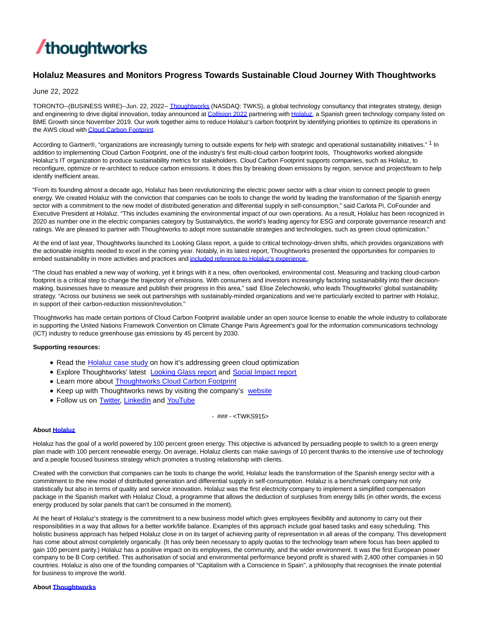

# **Holaluz Measures and Monitors Progress Towards Sustainable Cloud Journey With Thoughtworks**

June 22, 2022

TORONTO--(BUSINESS WIRE)--Jun. 22, 2022-[- Thoughtworks \(](https://cts.businesswire.com/ct/CT?id=smartlink&url=http%3A%2F%2Fwww.thoughtworks.com%2F&esheet=52758071&newsitemid=20220622005384&lan=en-US&anchor=Thoughtworks&index=1&md5=36062759b255fe98a60b5587529aebbf)NASDAQ: TWKS), a global technology consultancy that integrates strategy, design and engineering to drive digital innovation, today announced at [Collision 2022 p](https://cts.businesswire.com/ct/CT?id=smartlink&url=https%3A%2F%2Fcollisionconf.com%2F&esheet=52758071&newsitemid=20220622005384&lan=en-US&anchor=Collision+2022&index=2&md5=144ce7839bd234a3ca19b6d78895afbd)artnering with [Holaluz,](https://cts.businesswire.com/ct/CT?id=smartlink&url=https%3A%2F%2Fwww.holaluz.com%2F&esheet=52758071&newsitemid=20220622005384&lan=en-US&anchor=Holaluz&index=3&md5=12149b6a98a92c9dd5016f34bb9be9d2) a Spanish green technology company listed on BME Growth since November 2019. Our work together aims to reduce Holaluz's carbon footprint by identifying priorities to optimize its operations in the AWS cloud wit[h Cloud Carbon Footprint.](https://cts.businesswire.com/ct/CT?id=smartlink&url=https%3A%2F%2Fwww.thoughtworks.com%2Fen-us%2Fwhat-we-do%2Fenterprise-modernization-platforms-cloud%2Fgreen-cloud&esheet=52758071&newsitemid=20220622005384&lan=en-US&anchor=Cloud+Carbon+Footprint&index=4&md5=0b90e815d60e1eb2b64936092765b3df)

According to Gartner®, "organizations are increasingly turning to outside experts for help with strategic and operational sustainability initiatives." 1 In addition to implementing Cloud Carbon Footprint, one of the industry's first multi-cloud carbon footprint tools, Thoughtworks worked alongside Holaluz's IT organization to produce sustainability metrics for stakeholders. Cloud Carbon Footprint supports companies, such as Holaluz, to reconfigure, optimize or re-architect to reduce carbon emissions. It does this by breaking down emissions by region, service and project/team to help identify inefficient areas.

"From its founding almost a decade ago, Holaluz has been revolutionizing the electric power sector with a clear vision to connect people to green energy. We created Holaluz with the conviction that companies can be tools to change the world by leading the transformation of the Spanish energy sector with a commitment to the new model of distributed generation and differential supply in self-consumption," said Carlota Pi, CoFounder and Executive President at Holaluz. "This includes examining the environmental impact of our own operations. As a result, Holaluz has been recognized in 2020 as number one in the electric companies category by Sustainalytics, the world's leading agency for ESG and corporate governance research and ratings. We are pleased to partner with Thoughtworks to adopt more sustainable strategies and technologies, such as green cloud optimization."

At the end of last year, Thoughtworks launched its Looking Glass report, a guide to critical technology-driven shifts, which provides organizations with the actionable insights needed to excel in the coming year. Notably, in its latest report, Thoughtworks presented the opportunities for companies to embed sustainability in more activities and practices an[d included reference to Holaluz's experience](https://cts.businesswire.com/ct/CT?id=smartlink&url=https%3A%2F%2Fwww.thoughtworks.com%2Fde-de%2Finsights%2Flooking-glass%2Flens-five-accelerating-towards-sustainability&esheet=52758071&newsitemid=20220622005384&lan=en-US&anchor=included+reference+to+Holaluz%26%238217%3Bs+experience&index=5&md5=3024030cf8fe2d2e96fd279418652d05).

"The cloud has enabled a new way of working, yet it brings with it a new, often overlooked, environmental cost. Measuring and tracking cloud-carbon footprint is a critical step to change the trajectory of emissions. With consumers and investors increasingly factoring sustainability into their decisionmaking, businesses have to measure and publish their progress in this area," said Elise Zelechowski, who leads Thoughtworks' global sustainability strategy. "Across our business we seek out partnerships with sustainably-minded organizations and we're particularly excited to partner with Holaluz, in support of their carbon-reduction mission/revolution."

Thoughtworks has made certain portions of Cloud Carbon Footprint available under an open source license to enable the whole industry to collaborate in supporting the United Nations Framework Convention on Climate Change Paris Agreement's goal for the information communications technology (ICT) industry to reduce greenhouse gas emissions by 45 percent by 2030.

### **Supporting resources:**

- Read the [Holaluz case study o](https://cts.businesswire.com/ct/CT?id=smartlink&url=https%3A%2F%2Fwww.thoughtworks.com%2Fen-ec%2Fclients%2FBringing-green-cloud-optimization-to-a-green-energy-business&esheet=52758071&newsitemid=20220622005384&lan=en-US&anchor=Holaluz+case+study&index=6&md5=8fc81cbd86b0d89e54bdfe5a40bb1c36)n how it's addressing green cloud optimization
- **Explore Thoughtworks' latest [Looking Glass report](https://cts.businesswire.com/ct/CT?id=smartlink&url=https%3A%2F%2Fwww.thoughtworks.com%2Finsights%2Flooking-glass%2Flens-five-accelerating-towards-sustainability&esheet=52758071&newsitemid=20220622005384&lan=en-US&anchor=Looking+Glass+report&index=7&md5=2d2035cdcab7dcc6be022995f0b5f069) and [Social Impact report](https://cts.businesswire.com/ct/CT?id=smartlink&url=https%3A%2F%2Fwww.thoughtworks.com%2Fen-us%2Fabout-us%2Fsocial-change%2Freports%2Four-purpose-in-action&esheet=52758071&newsitemid=20220622005384&lan=en-US&anchor=Social+Impact+report&index=8&md5=70c32b97ce96cf50a96e1d0c6a4baa4c)**
- Learn more about [Thoughtworks Cloud Carbon Footprint](https://cts.businesswire.com/ct/CT?id=smartlink&url=https%3A%2F%2Fwww.thoughtworks.com%2Fen-us%2Fwhat-we-do%2Fenterprise-modernization-platforms-cloud%2Fgreen-cloud&esheet=52758071&newsitemid=20220622005384&lan=en-US&anchor=Thoughtworks+Cloud+Carbon+Footprint&index=9&md5=7cda393ad157ad593fa12b4611363b27)
- Keep up with Thoughtworks news by visiting the company's [website](https://cts.businesswire.com/ct/CT?id=smartlink&url=http%3A%2F%2Fwww.thoughtworks.com%2F&esheet=52758071&newsitemid=20220622005384&lan=en-US&anchor=website&index=10&md5=0bbc79be90da150fcfa771d02c9c4d84)
- Follow us on [Twitter,](https://cts.businesswire.com/ct/CT?id=smartlink&url=https%3A%2F%2Ftwitter.com%2Fthoughtworks&esheet=52758071&newsitemid=20220622005384&lan=en-US&anchor=Twitter&index=11&md5=06ce59db059a1c47676087d3eba34370) [LinkedIn a](https://cts.businesswire.com/ct/CT?id=smartlink&url=https%3A%2F%2Fwww.linkedin.com%2Fcompany%2Fthoughtworks&esheet=52758071&newsitemid=20220622005384&lan=en-US&anchor=LinkedIn&index=12&md5=68be73e27d45bd1138b9d51c70d7de45)nd [YouTube](https://cts.businesswire.com/ct/CT?id=smartlink&url=https%3A%2F%2Fwww.youtube.com%2Fuser%2FThoughtWorks&esheet=52758071&newsitemid=20220622005384&lan=en-US&anchor=YouTube&index=13&md5=0097276073e1df535490a3a0601e5158)

- ### - <TWKS915>

### **Abou[t Holaluz](https://cts.businesswire.com/ct/CT?id=smartlink&url=https%3A%2F%2Fwww.holaluz.com%2F&esheet=52758071&newsitemid=20220622005384&lan=en-US&anchor=Holaluz&index=14&md5=58bb786a1345d6e03bb9afc002500ca0)**

Holaluz has the goal of a world powered by 100 percent green energy. This objective is advanced by persuading people to switch to a green energy plan made with 100 percent renewable energy. On average, Holaluz clients can make savings of 10 percent thanks to the intensive use of technology and a people focused business strategy which promotes a trusting relationship with clients.

Created with the conviction that companies can be tools to change the world, Holaluz leads the transformation of the Spanish energy sector with a commitment to the new model of distributed generation and differential supply in self-consumption. Holaluz is a benchmark company not only statistically but also in terms of quality and service innovation. Holaluz was the first electricity company to implement a simplified compensation package in the Spanish market with Holaluz Cloud, a programme that allows the deduction of surpluses from energy bills (in other words, the excess energy produced by solar panels that can't be consumed in the moment).

At the heart of Holaluz's strategy is the commitment to a new business model which gives employees flexibility and autonomy to carry out their responsibilities in a way that allows for a better work/life balance. Examples of this approach include goal based tasks and easy scheduling. This holistic business approach has helped Holaluz close in on its target of achieving parity of representation in all areas of the company. This development has come about almost completely organically. (It has only been necessary to apply quotas to the technology team where focus has been applied to gain 100 percent parity.) Holaluz has a positive impact on its employees, the community, and the wider environment. It was the first European power company to be B Corp certified. This authorisation of social and environmental performance beyond profit is shared with 2,400 other companies in 50 countries. Holaluz is also one of the founding companies of "Capitalism with a Conscience in Spain", a philosophy that recognises the innate potential for business to improve the world.

# **Abou[t Thoughtworks](https://cts.businesswire.com/ct/CT?id=smartlink&url=https%3A%2F%2Fwww.thoughtworks.com%2F%3Futm_source%3Dpress-release%26utm_medium%3Dpr%26utm_campaign%3Dempc_forrester-study_2021-05&esheet=52758071&newsitemid=20220622005384&lan=en-US&anchor=Thoughtworks&index=15&md5=04ffd8934ea90ece943d22420db469aa)**